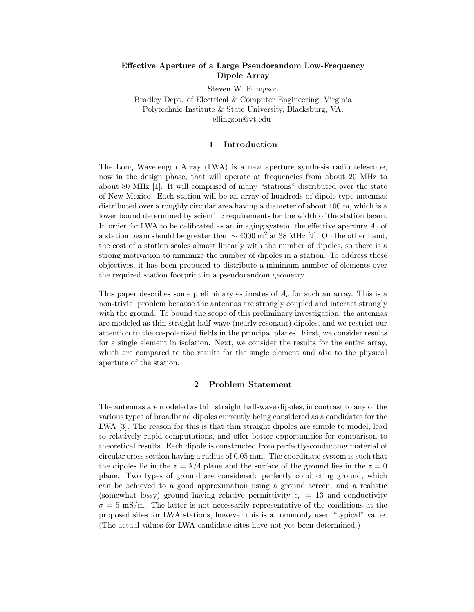# **Effective Aperture of a Large Pseudorandom Low-Frequency Dipole Array**

Steven W. Ellingson Bradley Dept. of Electrical & Computer Engineering, Virginia Polytechnic Institute & State University, Blacksburg, VA. ellingson@vt.edu

# **1 Introduction**

The Long Wavelength Array (LWA) is a new aperture synthesis radio telescope, now in the design phase, that will operate at frequencies from about 20 MHz to about 80 MHz [1]. It will comprised of many "stations" distributed over the state of New Mexico. Each station will be an array of hundreds of dipole-type antennas distributed over a roughly circular area having a diameter of about 100 m, which is a lower bound determined by scientific requirements for the width of the station beam. In order for LWA to be calibrated as an imaging system, the effective aperture  $A_e$  of a station beam should be greater than  $\sim$  4000 m<sup>2</sup> at 38 MHz [2]. On the other hand, the cost of a station scales almost linearly with the number of dipoles, so there is a strong motivation to minimize the number of dipoles in a station. To address these objectives, it has been proposed to distribute a minimum number of elements over the required station footprint in a pseudorandom geometry.

This paper describes some preliminary estimates of  $A_e$  for such an array. This is a non-trivial problem because the antennas are strongly coupled and interact strongly with the ground. To bound the scope of this preliminary investigation, the antennas are modeled as thin straight half-wave (nearly resonant) dipoles, and we restrict our attention to the co-polarized fields in the principal planes. First, we consider results for a single element in isolation. Next, we consider the results for the entire array, which are compared to the results for the single element and also to the physical aperture of the station.

# **2 Problem Statement**

The antennas are modeled as thin straight half-wave dipoles, in contrast to any of the various types of broadband dipoles currently being considered as a candidates for the LWA [3]. The reason for this is that thin straight dipoles are simple to model, lead to relatively rapid computations, and offer better opportunities for comparison to theoretical results. Each dipole is constructed from perfectly-conducting material of circular cross section having a radius of 0.05 mm. The coordinate system is such that the dipoles lie in the  $z = \lambda/4$  plane and the surface of the ground lies in the  $z = 0$ plane. Two types of ground are considered: perfectly conducting ground, which can be achieved to a good approximation using a ground screen; and a realistic (somewhat lossy) ground having relative permittivity  $\epsilon_r = 13$  and conductivity  $\sigma = 5$  mS/m. The latter is not necessarily representative of the conditions at the proposed sites for LWA stations, however this is a commonly used "typical" value. (The actual values for LWA candidate sites have not yet been determined.)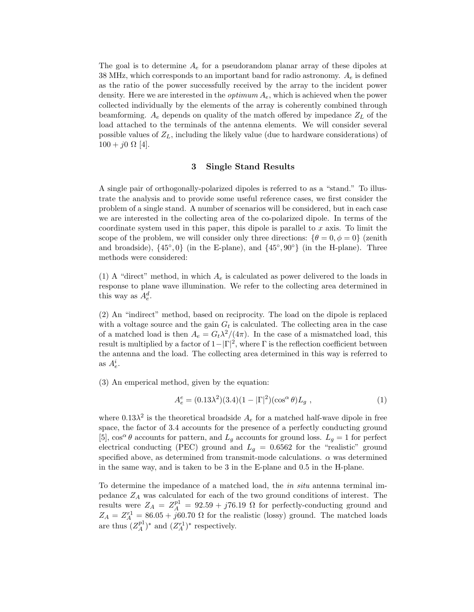The goal is to determine  $A_e$  for a pseudorandom planar array of these dipoles at 38 MHz, which corresponds to an important band for radio astronomy.  $A_e$  is defined as the ratio of the power successfully received by the array to the incident power density. Here we are interested in the *optimum*  $A_e$ , which is achieved when the power collected individually by the elements of the array is coherently combined through beamforming.  $A_e$  depends on quality of the match offered by impedance  $Z_L$  of the load attached to the terminals of the antenna elements. We will consider several possible values of  $Z_L$ , including the likely value (due to hardware considerations) of  $100 + j0 \Omega$  [4].

### **3 Single Stand Results**

A single pair of orthogonally-polarized dipoles is referred to as a "stand." To illustrate the analysis and to provide some useful reference cases, we first consider the problem of a single stand. A number of scenarios will be considered, but in each case we are interested in the collecting area of the co-polarized dipole. In terms of the coordinate system used in this paper, this dipole is parallel to  $x$  axis. To limit the scope of the problem, we will consider only three directions:  $\{\theta = 0, \phi = 0\}$  (zenith and broadside),  $\{45^\circ, 0\}$  (in the E-plane), and  $\{45^\circ, 90^\circ\}$  (in the H-plane). Three methods were considered:

(1) A "direct" method, in which  $A_e$  is calculated as power delivered to the loads in response to plane wave illumination. We refer to the collecting area determined in this way as  $A_e^d$ .

(2) An "indirect" method, based on reciprocity. The load on the dipole is replaced with a voltage source and the gain  $G_t$  is calculated. The collecting area in the case of a matched load is then  $A_e = G_t \lambda^2 / (4\pi)$ . In the case of a mismatched load, this result is multiplied by a factor of  $1-|\Gamma|^2$ , where  $\Gamma$  is the reflection coefficient between the antenna and the load. The collecting area determined in this way is referred to as  $A_e^i$ .

(3) An emperical method, given by the equation:

$$
A_e^e = (0.13\lambda^2)(3.4)(1 - |\Gamma|^2)(\cos^\alpha \theta)L_g ,
$$
 (1)

where  $0.13\lambda^2$  is the theoretical broadside  $A_e$  for a matched half-wave dipole in free space, the factor of 3.4 accounts for the presence of a perfectly conducting ground [5],  $\cos^{\alpha} \theta$  accounts for pattern, and  $L_g$  accounts for ground loss.  $L_g = 1$  for perfect electrical conducting (PEC) ground and  $L_q = 0.6562$  for the "realistic" ground specified above, as determined from transmit-mode calculations.  $\alpha$  was determined in the same way, and is taken to be 3 in the E-plane and 0.5 in the H-plane.

To determine the impedance of a matched load, the in situ antenna terminal impedance  $Z_A$  was calculated for each of the two ground conditions of interest. The results were  $Z_A = Z_A^{p1} = 92.59 + j76.19 \Omega$  for perfectly-conducting ground and  $Z_A = Z_A^{r1} = 86.05 + j60.70 \Omega$  for the realistic (lossy) ground. The matched loads are thus  $(Z_A^{p_1})^*$  and  $(Z_A^{r_1})^*$  respectively.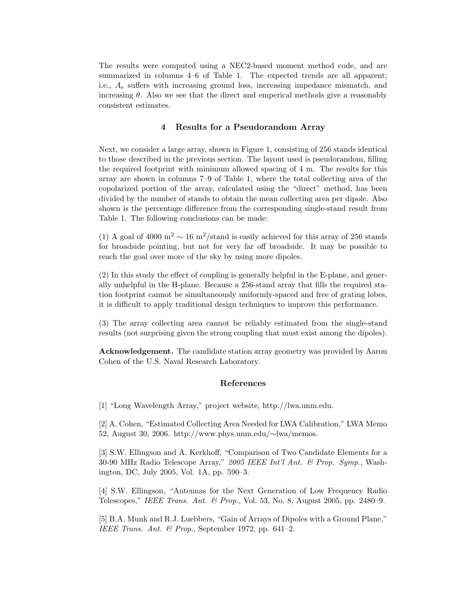The results were computed using a NEC2-based moment method code, and are summarized in columns 4–6 of Table 1. The expected trends are all apparent; i.e.,  $A_e$  suffers with increasing ground loss, increasing impedance mismatch, and increasing  $\theta$ . Also we see that the direct and emperical methods give a reasonably consistent estimates.

# **4 Results for a Pseudorandom Array**

Next, we consider a large array, shown in Figure 1, consisting of 256 stands identical to those described in the previous section. The layout used is pseudorandom, filling the required footprint with minimum allowed spacing of 4 m. The results for this array are shown in columns 7–9 of Table 1, where the total collecting area of the copolarized portion of the array, calculated using the "direct" method, has been divided by the number of stands to obtain the mean collecting area per dipole. Also shown is the percentage difference from the corresponding single-stand result from Table 1. The following conclusions can be made:

(1) A goal of 4000 m<sup>2</sup>  $\sim 16$  m<sup>2</sup>/stand is easily achieved for this array of 256 stands for broadside pointing, but not for very far off broadside. It may be possible to reach the goal over more of the sky by using more dipoles.

(2) In this study the effect of coupling is generally helpful in the E-plane, and generally unhelpful in the H-plane. Because a 256-stand array that fills the required station footprint cannot be simultaneously uniformly-spaced and free of grating lobes, it is difficult to apply traditional design techniques to improve this performance.

(3) The array collecting area cannot be reliably estimated from the single-stand results (not surprising given the strong coupling that must exist among the dipoles).

**Acknowledgement.** The candidate station array geometry was provided by Aaron Cohen of the U.S. Naval Research Laboratory.

#### **References**

[1] "Long Wavelength Array," project website, http://lwa.unm.edu.

[2] A. Cohen, "Estimated Collecting Area Needed for LWA Calibration," LWA Memo 52, August 30, 2006. http://www.phys.unm.edu/∼lwa/memos.

[3] S.W. Ellingson and A. Kerkhoff, "Comparison of Two Candidate Elements for a 30-90 MHz Radio Telescope Array," 2005 IEEE Int'l Ant. & Prop. Symp., Washington, DC, July 2005, Vol. 1A, pp. 590–3.

[4] S.W. Ellingson, "Antennas for the Next Generation of Low Frequency Radio Telescopes," IEEE Trans. Ant. & Prop., Vol. 53, No. 8, August 2005, pp. 2480–9.

[5] B.A. Munk and R.J. Luebbers, "Gain of Arrays of Dipoles with a Ground Plane," IEEE Trans. Ant. & Prop., September 1972, pp. 641–2.